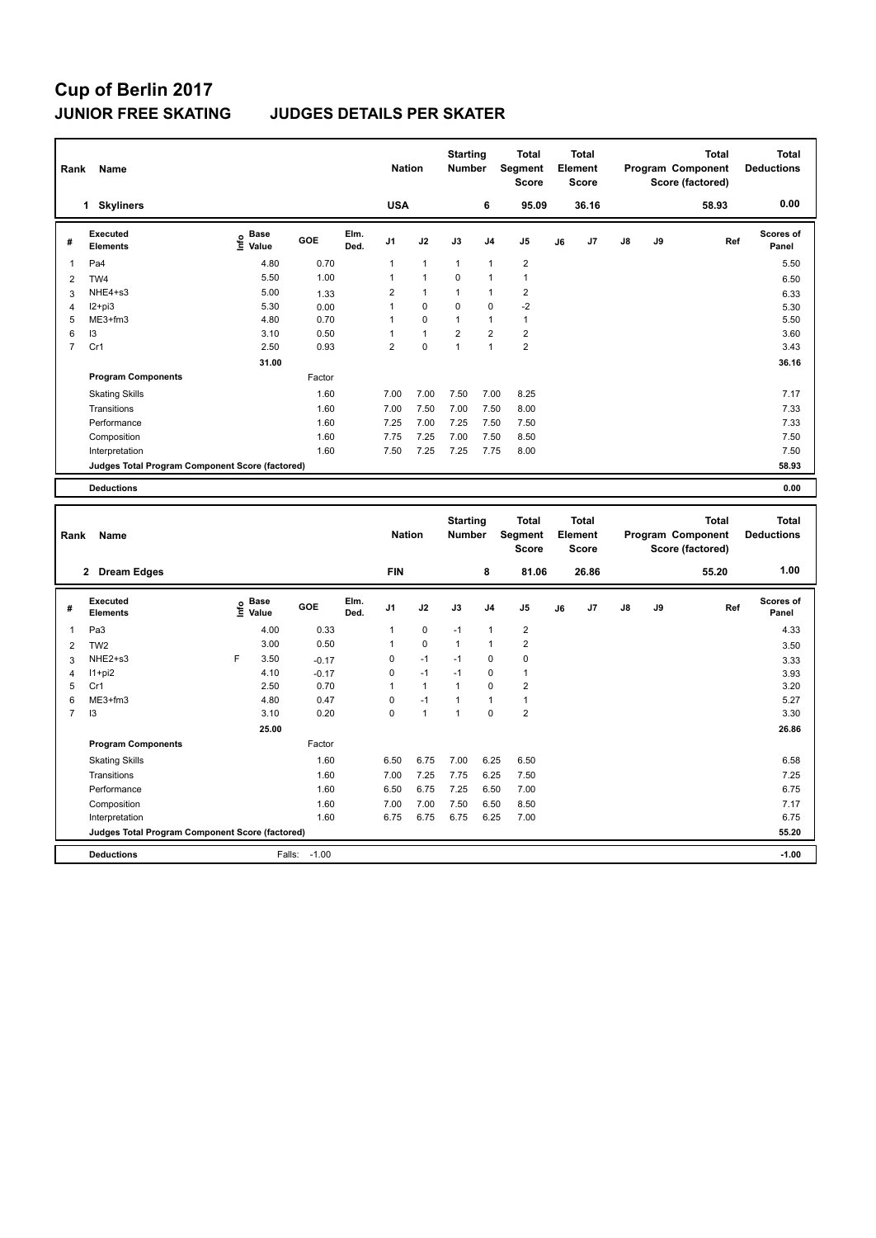## **Cup of Berlin 2017 JUNIOR FREE SKATING JUDGES DETAILS PER SKATER**

| Rank           | Name                                            |                                  |        |              | <b>Nation</b>  |                | <b>Starting</b><br><b>Number</b> |                | <b>Total</b><br>Segment<br><b>Score</b> |    | Total<br>Element<br>Score |               |    | <b>Total</b><br>Program Component<br>Score (factored) | <b>Total</b><br><b>Deductions</b> |
|----------------|-------------------------------------------------|----------------------------------|--------|--------------|----------------|----------------|----------------------------------|----------------|-----------------------------------------|----|---------------------------|---------------|----|-------------------------------------------------------|-----------------------------------|
|                | <b>Skyliners</b><br>1                           |                                  |        |              | <b>USA</b>     |                |                                  | 6              | 95.09                                   |    | 36.16                     |               |    | 58.93                                                 | 0.00                              |
| #              | <b>Executed</b><br><b>Elements</b>              | <b>Base</b><br>e Base<br>⊆ Value | GOE    | Elm.<br>Ded. | J <sub>1</sub> | J2             | J3                               | J <sub>4</sub> | J <sub>5</sub>                          | J6 | J <sub>7</sub>            | $\mathsf{J}8$ | J9 | Ref                                                   | <b>Scores of</b><br>Panel         |
| 1              | Pa4                                             | 4.80                             | 0.70   |              | 1              | 1              | $\mathbf{1}$                     | 1              | $\overline{2}$                          |    |                           |               |    |                                                       | 5.50                              |
| $\overline{2}$ | TW4                                             | 5.50                             | 1.00   |              | 1              | $\overline{1}$ | 0                                | $\overline{1}$ | $\overline{1}$                          |    |                           |               |    |                                                       | 6.50                              |
| 3              | NHE4+s3                                         | 5.00                             | 1.33   |              | $\overline{2}$ | 1              | 1                                | 1              | $\overline{2}$                          |    |                           |               |    |                                                       | 6.33                              |
| 4              | $12+pi3$                                        | 5.30                             | 0.00   |              | 1              | 0              | 0                                | 0              | $-2$                                    |    |                           |               |    |                                                       | 5.30                              |
| 5              | ME3+fm3                                         | 4.80                             | 0.70   |              | 1              | 0              | $\mathbf{1}$                     | 1              | $\mathbf{1}$                            |    |                           |               |    |                                                       | 5.50                              |
| 6              | I3                                              | 3.10                             | 0.50   |              |                | $\mathbf{1}$   | $\overline{2}$                   | $\overline{2}$ | $\overline{2}$                          |    |                           |               |    |                                                       | 3.60                              |
| 7              | Cr1                                             | 2.50                             | 0.93   |              | $\overline{2}$ | 0              | $\mathbf{1}$                     | $\mathbf{1}$   | $\overline{2}$                          |    |                           |               |    |                                                       | 3.43                              |
|                |                                                 | 31.00                            |        |              |                |                |                                  |                |                                         |    |                           |               |    |                                                       | 36.16                             |
|                | <b>Program Components</b>                       |                                  | Factor |              |                |                |                                  |                |                                         |    |                           |               |    |                                                       |                                   |
|                | <b>Skating Skills</b>                           |                                  | 1.60   |              | 7.00           | 7.00           | 7.50                             | 7.00           | 8.25                                    |    |                           |               |    |                                                       | 7.17                              |
|                | Transitions                                     |                                  | 1.60   |              | 7.00           | 7.50           | 7.00                             | 7.50           | 8.00                                    |    |                           |               |    |                                                       | 7.33                              |
|                | Performance                                     |                                  | 1.60   |              | 7.25           | 7.00           | 7.25                             | 7.50           | 7.50                                    |    |                           |               |    |                                                       | 7.33                              |
|                | Composition                                     |                                  | 1.60   |              | 7.75           | 7.25           | 7.00                             | 7.50           | 8.50                                    |    |                           |               |    |                                                       | 7.50                              |
|                | Interpretation                                  |                                  | 1.60   |              | 7.50           | 7.25           | 7.25                             | 7.75           | 8.00                                    |    |                           |               |    |                                                       | 7.50                              |
|                | Judges Total Program Component Score (factored) |                                  |        |              |                |                |                                  |                |                                         |    |                           |               |    |                                                       | 58.93                             |
|                | <b>Deductions</b>                               |                                  |        |              |                |                |                                  |                |                                         |    |                           |               |    |                                                       | 0.00                              |

| Rank           | Name                                            |   |                                  |            |              | <b>Nation</b>  |              | <b>Starting</b><br><b>Number</b> |                | <b>Total</b><br><b>Segment</b><br><b>Score</b> |    | <b>Total</b><br>Element<br><b>Score</b> |               |    | <b>Total</b><br>Program Component<br>Score (factored) | Total<br><b>Deductions</b> |
|----------------|-------------------------------------------------|---|----------------------------------|------------|--------------|----------------|--------------|----------------------------------|----------------|------------------------------------------------|----|-----------------------------------------|---------------|----|-------------------------------------------------------|----------------------------|
|                | <b>Dream Edges</b><br>$\mathbf{2}$              |   |                                  |            |              | <b>FIN</b>     |              |                                  | 8              | 81.06                                          |    | 26.86                                   |               |    | 55.20                                                 | 1.00                       |
| #              | Executed<br><b>Elements</b>                     |   | <b>Base</b><br>e Base<br>E Value | <b>GOE</b> | Elm.<br>Ded. | J <sub>1</sub> | J2           | J3                               | J <sub>4</sub> | J <sub>5</sub>                                 | J6 | J <sub>7</sub>                          | $\mathsf{J}8$ | J9 | Ref                                                   | <b>Scores of</b><br>Panel  |
| 1              | Pa <sub>3</sub>                                 |   | 4.00                             | 0.33       |              | 1              | $\mathbf 0$  | $-1$                             | $\overline{1}$ | $\overline{2}$                                 |    |                                         |               |    |                                                       | 4.33                       |
| $\overline{2}$ | TW <sub>2</sub>                                 |   | 3.00                             | 0.50       |              | 1              | $\mathbf 0$  | $\mathbf{1}$                     | $\overline{1}$ | $\overline{\mathbf{c}}$                        |    |                                         |               |    |                                                       | 3.50                       |
| 3              | NHE2+s3                                         | F | 3.50                             | $-0.17$    |              | 0              | $-1$         | $-1$                             | 0              | 0                                              |    |                                         |               |    |                                                       | 3.33                       |
| $\overline{4}$ | $11+pi2$                                        |   | 4.10                             | $-0.17$    |              | 0              | $-1$         | $-1$                             | 0              | $\mathbf{1}$                                   |    |                                         |               |    |                                                       | 3.93                       |
| 5              | Cr1                                             |   | 2.50                             | 0.70       |              | 1              | $\mathbf{1}$ | $\mathbf{1}$                     | 0              | $\overline{\mathbf{c}}$                        |    |                                         |               |    |                                                       | 3.20                       |
| 6              | ME3+fm3                                         |   | 4.80                             | 0.47       |              | 0              | $-1$         | 1                                | 1              | $\mathbf{1}$                                   |    |                                         |               |    |                                                       | 5.27                       |
| 7              | I3                                              |   | 3.10                             | 0.20       |              | 0              | $\mathbf{1}$ | $\overline{1}$                   | $\Omega$       | $\overline{\mathbf{c}}$                        |    |                                         |               |    |                                                       | 3.30                       |
|                |                                                 |   | 25.00                            |            |              |                |              |                                  |                |                                                |    |                                         |               |    |                                                       | 26.86                      |
|                | <b>Program Components</b>                       |   |                                  | Factor     |              |                |              |                                  |                |                                                |    |                                         |               |    |                                                       |                            |
|                | <b>Skating Skills</b>                           |   |                                  | 1.60       |              | 6.50           | 6.75         | 7.00                             | 6.25           | 6.50                                           |    |                                         |               |    |                                                       | 6.58                       |
|                | Transitions                                     |   |                                  | 1.60       |              | 7.00           | 7.25         | 7.75                             | 6.25           | 7.50                                           |    |                                         |               |    |                                                       | 7.25                       |
|                | Performance                                     |   |                                  | 1.60       |              | 6.50           | 6.75         | 7.25                             | 6.50           | 7.00                                           |    |                                         |               |    |                                                       | 6.75                       |
|                | Composition                                     |   |                                  | 1.60       |              | 7.00           | 7.00         | 7.50                             | 6.50           | 8.50                                           |    |                                         |               |    |                                                       | 7.17                       |
|                | Interpretation                                  |   |                                  | 1.60       |              | 6.75           | 6.75         | 6.75                             | 6.25           | 7.00                                           |    |                                         |               |    |                                                       | 6.75                       |
|                | Judges Total Program Component Score (factored) |   |                                  |            |              |                |              |                                  |                |                                                |    |                                         |               |    |                                                       | 55.20                      |
|                | <b>Deductions</b>                               |   | Falls:                           | $-1.00$    |              |                |              |                                  |                |                                                |    |                                         |               |    |                                                       | $-1.00$                    |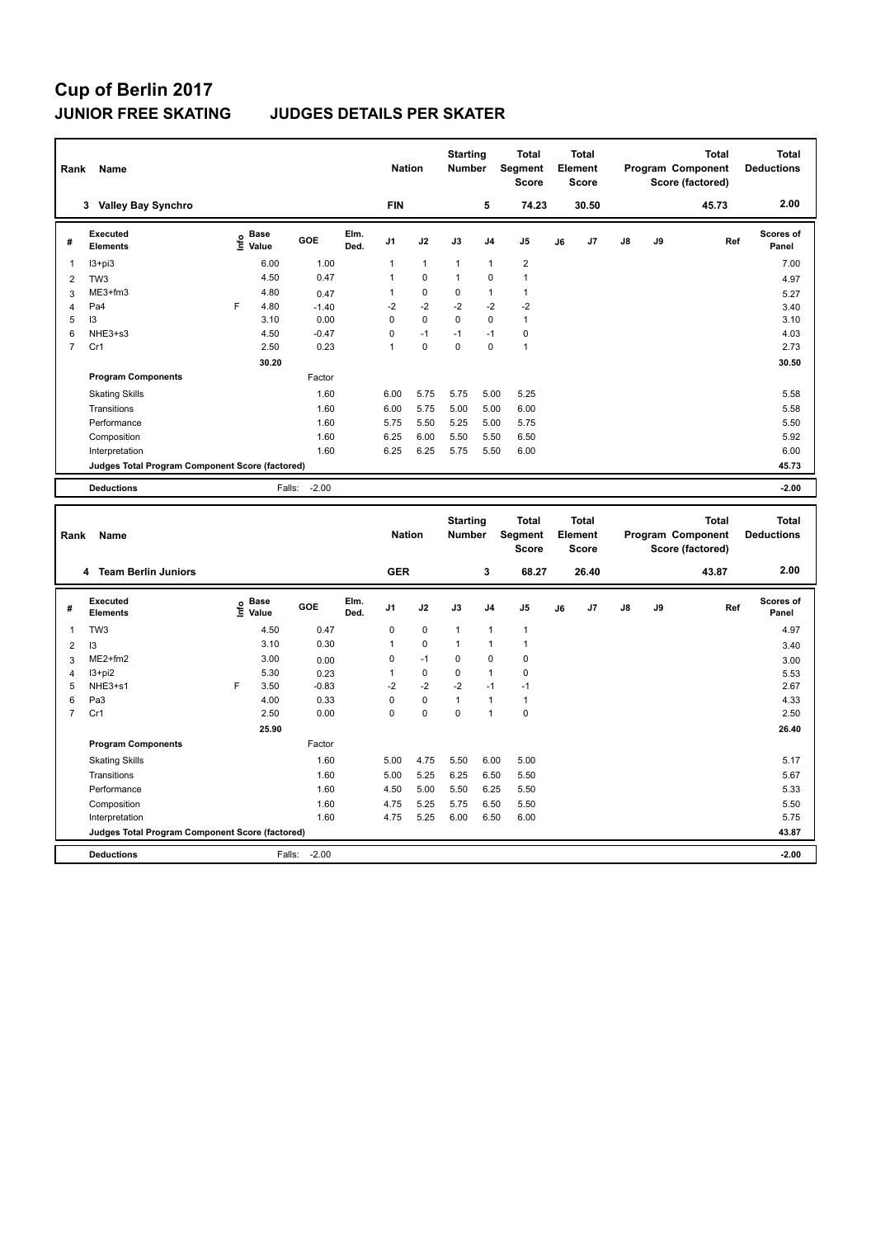# **Cup of Berlin 2017**

### **JUNIOR FREE SKATING JUDGES DETAILS PER SKATER**

| Rank<br>Name   |                                                 |   |                                  |         |              | <b>Nation</b>  |              | <b>Starting</b><br><b>Number</b> |                | <b>Total</b><br>Segment<br><b>Score</b> |    | <b>Total</b><br>Element<br><b>Score</b> |               |    | <b>Total</b><br>Program Component<br>Score (factored) | <b>Total</b><br><b>Deductions</b> |
|----------------|-------------------------------------------------|---|----------------------------------|---------|--------------|----------------|--------------|----------------------------------|----------------|-----------------------------------------|----|-----------------------------------------|---------------|----|-------------------------------------------------------|-----------------------------------|
|                | <b>Valley Bay Synchro</b><br>3                  |   |                                  |         |              | <b>FIN</b>     |              |                                  | 5              | 74.23                                   |    | 30.50                                   |               |    | 45.73                                                 | 2.00                              |
| #              | <b>Executed</b><br><b>Elements</b>              |   | <b>Base</b><br>e Base<br>⊆ Value | GOE     | Elm.<br>Ded. | J <sub>1</sub> | J2           | J3                               | J <sub>4</sub> | J <sub>5</sub>                          | J6 | J <sub>7</sub>                          | $\mathsf{J}8$ | J9 | Ref                                                   | <b>Scores of</b><br>Panel         |
| 1              | $13 + pi3$                                      |   | 6.00                             | 1.00    |              | 1              | $\mathbf{1}$ | 1                                | $\overline{1}$ | $\overline{2}$                          |    |                                         |               |    |                                                       | 7.00                              |
| $\overline{2}$ | TW <sub>3</sub>                                 |   | 4.50                             | 0.47    |              | 1              | $\mathbf 0$  | $\mathbf{1}$                     | $\mathbf 0$    | $\overline{1}$                          |    |                                         |               |    |                                                       | 4.97                              |
| 3              | ME3+fm3                                         |   | 4.80                             | 0.47    |              | 1              | $\mathbf 0$  | $\mathbf 0$                      | $\mathbf{1}$   | $\mathbf{1}$                            |    |                                         |               |    |                                                       | 5.27                              |
| 4              | Pa4                                             | F | 4.80                             | $-1.40$ |              | $-2$           | $-2$         | $-2$                             | $-2$           | $-2$                                    |    |                                         |               |    |                                                       | 3.40                              |
| 5              | 13                                              |   | 3.10                             | 0.00    |              | 0              | $\mathbf 0$  | $\Omega$                         | $\mathbf 0$    | $\mathbf{1}$                            |    |                                         |               |    |                                                       | 3.10                              |
| 6              | NHE3+s3                                         |   | 4.50                             | $-0.47$ |              | 0              | $-1$         | $-1$                             | $-1$           | 0                                       |    |                                         |               |    |                                                       | 4.03                              |
| 7              | Cr1                                             |   | 2.50                             | 0.23    |              | 1              | $\pmb{0}$    | 0                                | $\mathbf 0$    | $\overline{1}$                          |    |                                         |               |    |                                                       | 2.73                              |
|                |                                                 |   | 30.20                            |         |              |                |              |                                  |                |                                         |    |                                         |               |    |                                                       | 30.50                             |
|                | <b>Program Components</b>                       |   |                                  | Factor  |              |                |              |                                  |                |                                         |    |                                         |               |    |                                                       |                                   |
|                | <b>Skating Skills</b>                           |   |                                  | 1.60    |              | 6.00           | 5.75         | 5.75                             | 5.00           | 5.25                                    |    |                                         |               |    |                                                       | 5.58                              |
|                | Transitions                                     |   |                                  | 1.60    |              | 6.00           | 5.75         | 5.00                             | 5.00           | 6.00                                    |    |                                         |               |    |                                                       | 5.58                              |
|                | Performance                                     |   |                                  | 1.60    |              | 5.75           | 5.50         | 5.25                             | 5.00           | 5.75                                    |    |                                         |               |    |                                                       | 5.50                              |
|                | Composition                                     |   |                                  | 1.60    |              | 6.25           | 6.00         | 5.50                             | 5.50           | 6.50                                    |    |                                         |               |    |                                                       | 5.92                              |
|                | Interpretation                                  |   |                                  | 1.60    |              | 6.25           | 6.25         | 5.75                             | 5.50           | 6.00                                    |    |                                         |               |    |                                                       | 6.00                              |
|                | Judges Total Program Component Score (factored) |   |                                  |         |              |                |              |                                  |                |                                         |    |                                         |               |    |                                                       | 45.73                             |
|                | <b>Deductions</b>                               |   | Falls:                           | $-2.00$ |              |                |              |                                  |                |                                         |    |                                         |               |    |                                                       | $-2.00$                           |
|                |                                                 |   |                                  |         |              |                |              |                                  |                |                                         |    |                                         |               |    |                                                       |                                   |

|                | Name<br>Rank                                    |      |                      |         |              | <b>Nation</b>  |             | <b>Starting</b><br><b>Number</b> |                | <b>Total</b><br>Segment<br><b>Score</b> |    | <b>Total</b><br>Element<br><b>Score</b> |               |    | <b>Total</b><br>Program Component<br>Score (factored) | <b>Total</b><br><b>Deductions</b> |
|----------------|-------------------------------------------------|------|----------------------|---------|--------------|----------------|-------------|----------------------------------|----------------|-----------------------------------------|----|-----------------------------------------|---------------|----|-------------------------------------------------------|-----------------------------------|
|                | 4 Team Berlin Juniors                           |      |                      |         |              | <b>GER</b>     |             |                                  | 3              | 68.27                                   |    | 26.40                                   |               |    | 43.87                                                 | 2.00                              |
| #              | Executed<br><b>Elements</b>                     | ١nf٥ | <b>Base</b><br>Value | GOE     | Elm.<br>Ded. | J <sub>1</sub> | J2          | J3                               | J <sub>4</sub> | J <sub>5</sub>                          | J6 | J7                                      | $\mathsf{J}8$ | J9 | Ref                                                   | Scores of<br>Panel                |
| 1              | TW <sub>3</sub>                                 |      | 4.50                 | 0.47    |              | 0              | $\mathbf 0$ | 1                                | $\overline{1}$ | $\overline{1}$                          |    |                                         |               |    |                                                       | 4.97                              |
| $\overline{2}$ | 13                                              |      | 3.10                 | 0.30    |              | 1              | $\mathbf 0$ | 1                                | $\overline{1}$ | $\mathbf{1}$                            |    |                                         |               |    |                                                       | 3.40                              |
| 3              | $ME2+fm2$                                       |      | 3.00                 | 0.00    |              | 0              | $-1$        | 0                                | 0              | $\pmb{0}$                               |    |                                         |               |    |                                                       | 3.00                              |
| 4              | $13 + pi2$                                      |      | 5.30                 | 0.23    |              | 1              | $\pmb{0}$   | 0                                | $\overline{1}$ | 0                                       |    |                                         |               |    |                                                       | 5.53                              |
| 5              | NHE3+s1                                         | F    | 3.50                 | $-0.83$ |              | $-2$           | $-2$        | $-2$                             | $-1$           | $-1$                                    |    |                                         |               |    |                                                       | 2.67                              |
| 6              | Pa <sub>3</sub>                                 |      | 4.00                 | 0.33    |              | 0              | $\mathbf 0$ | $\overline{1}$                   | $\overline{1}$ | $\mathbf{1}$                            |    |                                         |               |    |                                                       | 4.33                              |
| $\overline{7}$ | Cr1                                             |      | 2.50                 | 0.00    |              | 0              | $\mathbf 0$ | $\mathbf 0$                      | $\overline{1}$ | $\pmb{0}$                               |    |                                         |               |    |                                                       | 2.50                              |
|                |                                                 |      | 25.90                |         |              |                |             |                                  |                |                                         |    |                                         |               |    |                                                       | 26.40                             |
|                | <b>Program Components</b>                       |      |                      | Factor  |              |                |             |                                  |                |                                         |    |                                         |               |    |                                                       |                                   |
|                | <b>Skating Skills</b>                           |      |                      | 1.60    |              | 5.00           | 4.75        | 5.50                             | 6.00           | 5.00                                    |    |                                         |               |    |                                                       | 5.17                              |
|                | Transitions                                     |      |                      | 1.60    |              | 5.00           | 5.25        | 6.25                             | 6.50           | 5.50                                    |    |                                         |               |    |                                                       | 5.67                              |
|                | Performance                                     |      |                      | 1.60    |              | 4.50           | 5.00        | 5.50                             | 6.25           | 5.50                                    |    |                                         |               |    |                                                       | 5.33                              |
|                | Composition                                     |      |                      | 1.60    |              | 4.75           | 5.25        | 5.75                             | 6.50           | 5.50                                    |    |                                         |               |    |                                                       | 5.50                              |
|                | Interpretation                                  |      |                      | 1.60    |              | 4.75           | 5.25        | 6.00                             | 6.50           | 6.00                                    |    |                                         |               |    |                                                       | 5.75                              |
|                | Judges Total Program Component Score (factored) |      |                      |         |              |                |             |                                  |                |                                         |    |                                         |               |    |                                                       | 43.87                             |
|                | <b>Deductions</b>                               |      | Falls:               | $-2.00$ |              |                |             |                                  |                |                                         |    |                                         |               |    |                                                       | $-2.00$                           |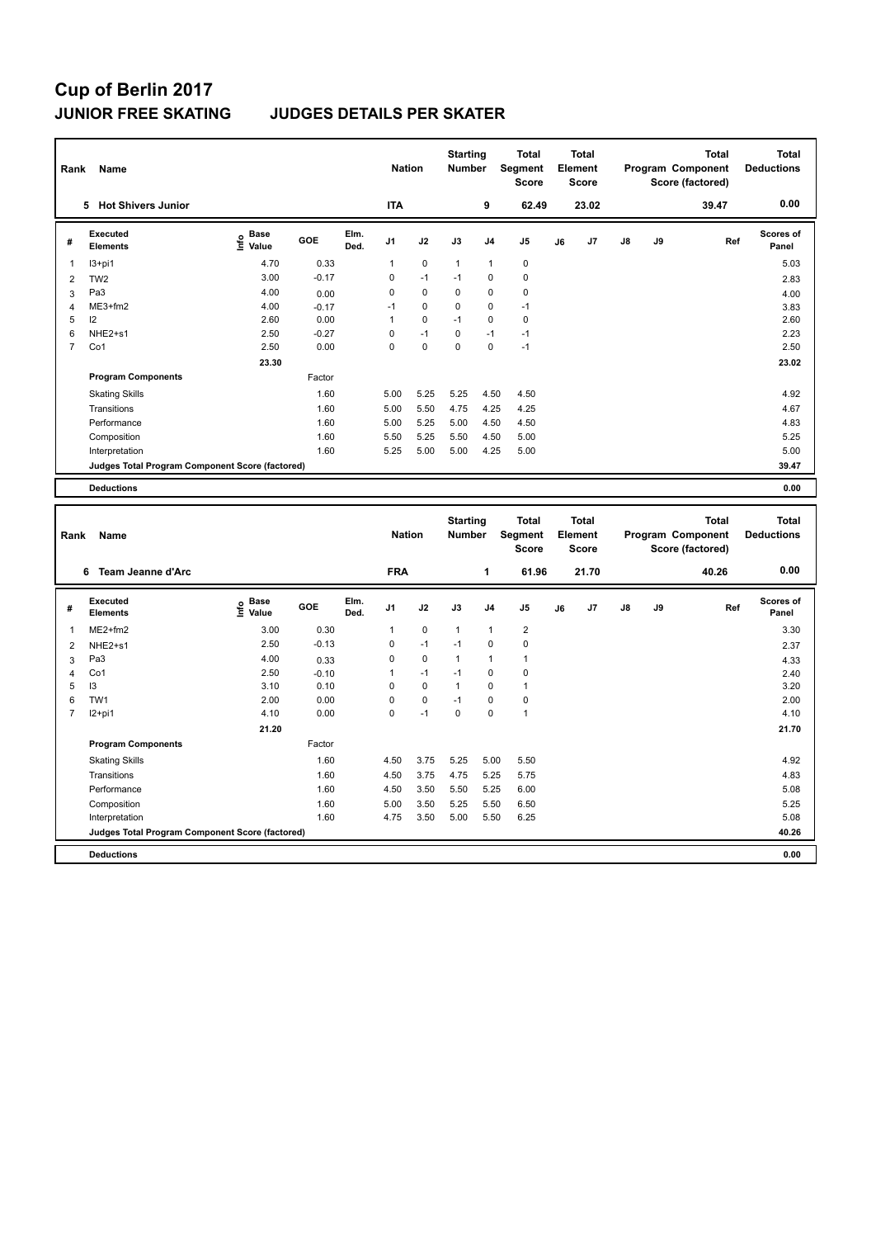## **Cup of Berlin 2017 JUNIOR FREE SKATING JUDGES DETAILS PER SKATER**

|                | Rank<br>Name                                    |                                  |         |              | <b>Nation</b>  |             | <b>Starting</b><br><b>Number</b> |                | <b>Total</b><br>Segment<br><b>Score</b> |    | <b>Total</b><br>Element<br><b>Score</b> |               |    | Total<br>Program Component<br>Score (factored) | <b>Total</b><br><b>Deductions</b> |
|----------------|-------------------------------------------------|----------------------------------|---------|--------------|----------------|-------------|----------------------------------|----------------|-----------------------------------------|----|-----------------------------------------|---------------|----|------------------------------------------------|-----------------------------------|
|                | <b>Hot Shivers Junior</b><br>5.                 |                                  |         |              | <b>ITA</b>     |             |                                  | 9              | 62.49                                   |    | 23.02                                   |               |    | 39.47                                          | 0.00                              |
| #              | Executed<br><b>Elements</b>                     | <b>Base</b><br>e Base<br>⊆ Value | GOE     | Elm.<br>Ded. | J <sub>1</sub> | J2          | J3                               | J <sub>4</sub> | J <sub>5</sub>                          | J6 | J <sub>7</sub>                          | $\mathsf{J}8$ | J9 | Ref                                            | Scores of<br>Panel                |
| 1              | $13+pi1$                                        | 4.70                             | 0.33    |              | 1              | $\mathbf 0$ | $\mathbf{1}$                     | $\mathbf{1}$   | 0                                       |    |                                         |               |    |                                                | 5.03                              |
| $\overline{2}$ | TW <sub>2</sub>                                 | 3.00                             | $-0.17$ |              | 0              | $-1$        | $-1$                             | 0              | 0                                       |    |                                         |               |    |                                                | 2.83                              |
| 3              | Pa <sub>3</sub>                                 | 4.00                             | 0.00    |              | 0              | 0           | $\Omega$                         | 0              | 0                                       |    |                                         |               |    |                                                | 4.00                              |
| 4              | ME3+fm2                                         | 4.00                             | $-0.17$ |              | $-1$           | $\mathbf 0$ | 0                                | 0              | $-1$                                    |    |                                         |               |    |                                                | 3.83                              |
| 5              | 12                                              | 2.60                             | 0.00    |              | 1              | 0           | $-1$                             | 0              | 0                                       |    |                                         |               |    |                                                | 2.60                              |
| 6              | NHE2+s1                                         | 2.50                             | $-0.27$ |              | 0              | $-1$        | 0                                | $-1$           | $-1$                                    |    |                                         |               |    |                                                | 2.23                              |
| 7              | Co1                                             | 2.50                             | 0.00    |              | 0              | $\mathbf 0$ | 0                                | 0              | $-1$                                    |    |                                         |               |    |                                                | 2.50                              |
|                |                                                 | 23.30                            |         |              |                |             |                                  |                |                                         |    |                                         |               |    |                                                | 23.02                             |
|                | <b>Program Components</b>                       |                                  | Factor  |              |                |             |                                  |                |                                         |    |                                         |               |    |                                                |                                   |
|                | <b>Skating Skills</b>                           |                                  | 1.60    |              | 5.00           | 5.25        | 5.25                             | 4.50           | 4.50                                    |    |                                         |               |    |                                                | 4.92                              |
|                | Transitions                                     |                                  | 1.60    |              | 5.00           | 5.50        | 4.75                             | 4.25           | 4.25                                    |    |                                         |               |    |                                                | 4.67                              |
|                | Performance                                     |                                  | 1.60    |              | 5.00           | 5.25        | 5.00                             | 4.50           | 4.50                                    |    |                                         |               |    |                                                | 4.83                              |
|                | Composition                                     |                                  | 1.60    |              | 5.50           | 5.25        | 5.50                             | 4.50           | 5.00                                    |    |                                         |               |    |                                                | 5.25                              |
|                | Interpretation                                  |                                  | 1.60    |              | 5.25           | 5.00        | 5.00                             | 4.25           | 5.00                                    |    |                                         |               |    |                                                | 5.00                              |
|                | Judges Total Program Component Score (factored) |                                  |         |              |                |             |                                  |                |                                         |    |                                         |               |    |                                                | 39.47                             |
|                | <b>Deductions</b>                               |                                  |         |              |                |             |                                  |                |                                         |    |                                         |               |    |                                                | 0.00                              |

| Rank | Name                                            |                                  |         |              | <b>Nation</b>  |             | <b>Starting</b><br><b>Number</b> |                | <b>Total</b><br>Segment<br><b>Score</b> |    | <b>Total</b><br>Element<br><b>Score</b> |    |    | <b>Total</b><br>Program Component<br>Score (factored) | <b>Total</b><br><b>Deductions</b> |
|------|-------------------------------------------------|----------------------------------|---------|--------------|----------------|-------------|----------------------------------|----------------|-----------------------------------------|----|-----------------------------------------|----|----|-------------------------------------------------------|-----------------------------------|
|      | Team Jeanne d'Arc<br>6                          |                                  |         |              | <b>FRA</b>     |             |                                  | 1              | 61.96                                   |    | 21.70                                   |    |    | 40.26                                                 | 0.00                              |
| #    | <b>Executed</b><br><b>Elements</b>              | <b>Base</b><br>e Base<br>⊆ Value | GOE     | Elm.<br>Ded. | J <sub>1</sub> | J2          | J3                               | J <sub>4</sub> | J <sub>5</sub>                          | J6 | J <sub>7</sub>                          | J8 | J9 | Ref                                                   | <b>Scores of</b><br>Panel         |
| 1    | $ME2+fm2$                                       | 3.00                             | 0.30    |              | 1              | $\mathbf 0$ | $\mathbf{1}$                     | 1              | $\overline{2}$                          |    |                                         |    |    |                                                       | 3.30                              |
| 2    | NHE <sub>2+s1</sub>                             | 2.50                             | $-0.13$ |              | 0              | $-1$        | $-1$                             | 0              | $\mathbf 0$                             |    |                                         |    |    |                                                       | 2.37                              |
| 3    | Pa <sub>3</sub>                                 | 4.00                             | 0.33    |              | 0              | 0           | $\mathbf{1}$                     | 1              | $\mathbf{1}$                            |    |                                         |    |    |                                                       | 4.33                              |
| 4    | Co1                                             | 2.50                             | $-0.10$ |              |                | $-1$        | $-1$                             | 0              | 0                                       |    |                                         |    |    |                                                       | 2.40                              |
| 5    | 13                                              | 3.10                             | 0.10    |              | 0              | $\mathbf 0$ | $\mathbf{1}$                     | 0              | $\mathbf{1}$                            |    |                                         |    |    |                                                       | 3.20                              |
| 6    | TW <sub>1</sub>                                 | 2.00                             | 0.00    |              | $\Omega$       | 0           | $-1$                             | 0              | 0                                       |    |                                         |    |    |                                                       | 2.00                              |
| 7    | $12+pi1$                                        | 4.10                             | 0.00    |              | 0              | $-1$        | 0                                | 0              | $\mathbf{1}$                            |    |                                         |    |    |                                                       | 4.10                              |
|      |                                                 | 21.20                            |         |              |                |             |                                  |                |                                         |    |                                         |    |    |                                                       | 21.70                             |
|      | <b>Program Components</b>                       |                                  | Factor  |              |                |             |                                  |                |                                         |    |                                         |    |    |                                                       |                                   |
|      | <b>Skating Skills</b>                           |                                  | 1.60    |              | 4.50           | 3.75        | 5.25                             | 5.00           | 5.50                                    |    |                                         |    |    |                                                       | 4.92                              |
|      | Transitions                                     |                                  | 1.60    |              | 4.50           | 3.75        | 4.75                             | 5.25           | 5.75                                    |    |                                         |    |    |                                                       | 4.83                              |
|      | Performance                                     |                                  | 1.60    |              | 4.50           | 3.50        | 5.50                             | 5.25           | 6.00                                    |    |                                         |    |    |                                                       | 5.08                              |
|      | Composition                                     |                                  | 1.60    |              | 5.00           | 3.50        | 5.25                             | 5.50           | 6.50                                    |    |                                         |    |    |                                                       | 5.25                              |
|      | Interpretation                                  |                                  | 1.60    |              | 4.75           | 3.50        | 5.00                             | 5.50           | 6.25                                    |    |                                         |    |    |                                                       | 5.08                              |
|      | Judges Total Program Component Score (factored) |                                  |         |              |                |             |                                  |                |                                         |    |                                         |    |    |                                                       | 40.26                             |
|      | <b>Deductions</b>                               |                                  |         |              |                |             |                                  |                |                                         |    |                                         |    |    |                                                       | 0.00                              |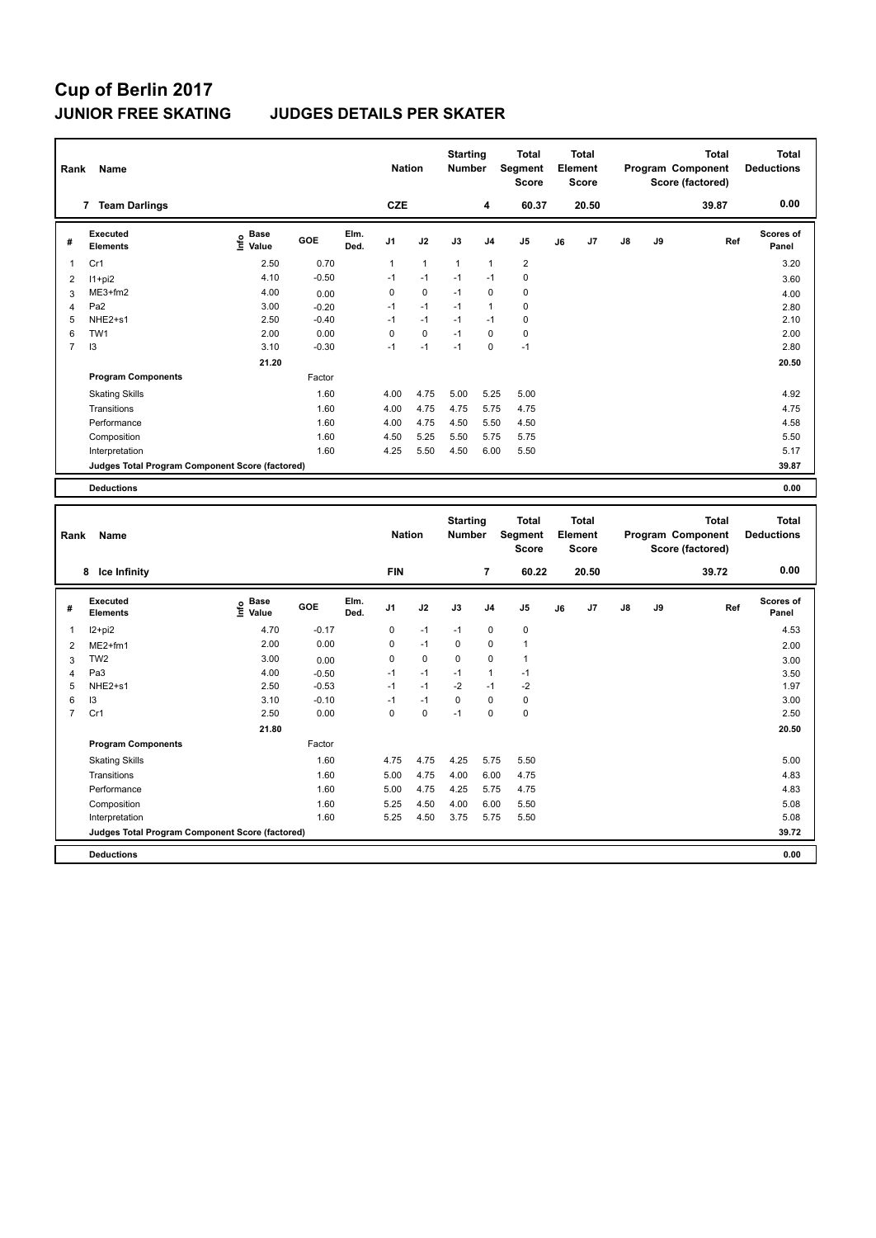# **Cup of Berlin 2017**

### **JUNIOR FREE SKATING JUDGES DETAILS PER SKATER**

| Rank           | Name                                            |                                  |         | <b>Nation</b> |                | <b>Starting</b><br><b>Number</b> |      | <b>Total</b><br><b>Segment</b><br><b>Score</b> |                | <b>Total</b><br>Element<br><b>Score</b> |       |    | <b>Total</b><br>Program Component<br>Score (factored) | <b>Total</b><br><b>Deductions</b> |                           |
|----------------|-------------------------------------------------|----------------------------------|---------|---------------|----------------|----------------------------------|------|------------------------------------------------|----------------|-----------------------------------------|-------|----|-------------------------------------------------------|-----------------------------------|---------------------------|
|                | <b>Team Darlings</b><br>7                       |                                  |         |               | <b>CZE</b>     |                                  |      | 4                                              | 60.37          |                                         | 20.50 |    |                                                       | 39.87                             | 0.00                      |
| #              | Executed<br><b>Elements</b>                     | <b>Base</b><br>e Base<br>E Value | GOE     | Elm.<br>Ded.  | J <sub>1</sub> | J2                               | J3   | J <sub>4</sub>                                 | J <sub>5</sub> | J6                                      | J7    | J8 | J9                                                    | Ref                               | <b>Scores of</b><br>Panel |
| 1              | Cr1                                             | 2.50                             | 0.70    |               | 1              | $\mathbf{1}$                     | 1    | $\mathbf{1}$                                   | $\overline{2}$ |                                         |       |    |                                                       |                                   | 3.20                      |
| $\overline{2}$ | $11+pi2$                                        | 4.10                             | $-0.50$ |               | $-1$           | $-1$                             | $-1$ | $-1$                                           | 0              |                                         |       |    |                                                       |                                   | 3.60                      |
| 3              | $ME3+fm2$                                       | 4.00                             | 0.00    |               | 0              | 0                                | $-1$ | $\Omega$                                       | 0              |                                         |       |    |                                                       |                                   | 4.00                      |
| 4              | Pa <sub>2</sub>                                 | 3.00                             | $-0.20$ |               | $-1$           | $-1$                             | $-1$ | $\mathbf{1}$                                   | 0              |                                         |       |    |                                                       |                                   | 2.80                      |
| 5              | NHE2+s1                                         | 2.50                             | $-0.40$ |               | $-1$           | $-1$                             | $-1$ | $-1$                                           | 0              |                                         |       |    |                                                       |                                   | 2.10                      |
| 6              | TW <sub>1</sub>                                 | 2.00                             | 0.00    |               | 0              | $\mathbf 0$                      | $-1$ | 0                                              | $\mathbf 0$    |                                         |       |    |                                                       |                                   | 2.00                      |
| $\overline{7}$ | 13                                              | 3.10                             | $-0.30$ |               | $-1$           | $-1$                             | $-1$ | $\mathbf 0$                                    | $-1$           |                                         |       |    |                                                       |                                   | 2.80                      |
|                |                                                 | 21.20                            |         |               |                |                                  |      |                                                |                |                                         |       |    |                                                       |                                   | 20.50                     |
|                | <b>Program Components</b>                       |                                  | Factor  |               |                |                                  |      |                                                |                |                                         |       |    |                                                       |                                   |                           |
|                | <b>Skating Skills</b>                           |                                  | 1.60    |               | 4.00           | 4.75                             | 5.00 | 5.25                                           | 5.00           |                                         |       |    |                                                       |                                   | 4.92                      |
|                | Transitions                                     |                                  | 1.60    |               | 4.00           | 4.75                             | 4.75 | 5.75                                           | 4.75           |                                         |       |    |                                                       |                                   | 4.75                      |
|                | Performance                                     |                                  | 1.60    |               | 4.00           | 4.75                             | 4.50 | 5.50                                           | 4.50           |                                         |       |    |                                                       |                                   | 4.58                      |
|                | Composition                                     |                                  | 1.60    |               | 4.50           | 5.25                             | 5.50 | 5.75                                           | 5.75           |                                         |       |    |                                                       |                                   | 5.50                      |
|                | Interpretation                                  |                                  | 1.60    |               | 4.25           | 5.50                             | 4.50 | 6.00                                           | 5.50           |                                         |       |    |                                                       |                                   | 5.17                      |
|                | Judges Total Program Component Score (factored) |                                  |         |               |                |                                  |      |                                                |                |                                         |       |    |                                                       |                                   | 39.87                     |
|                | <b>Deductions</b>                               |                                  |         |               |                |                                  |      |                                                |                |                                         |       |    |                                                       |                                   | 0.00                      |

|                | Name<br>Rank                                    |                                  |         |              | <b>Nation</b>  |      | <b>Starting</b><br><b>Number</b> |                | <b>Total</b><br>Segment<br><b>Score</b> |    | <b>Total</b><br>Element<br><b>Score</b> |               |    | <b>Total</b><br>Program Component<br>Score (factored) | <b>Total</b><br><b>Deductions</b> |
|----------------|-------------------------------------------------|----------------------------------|---------|--------------|----------------|------|----------------------------------|----------------|-----------------------------------------|----|-----------------------------------------|---------------|----|-------------------------------------------------------|-----------------------------------|
|                | Ice Infinity<br>8                               |                                  |         |              | <b>FIN</b>     |      |                                  | $\overline{7}$ | 60.22                                   |    | 20.50                                   |               |    | 39.72                                                 | 0.00                              |
| #              | Executed<br><b>Elements</b>                     | <b>Base</b><br>e Base<br>⊆ Value | GOE     | Elm.<br>Ded. | J <sub>1</sub> | J2   | J3                               | J <sub>4</sub> | J <sub>5</sub>                          | J6 | J7                                      | $\mathsf{J}8$ | J9 | Ref                                                   | Scores of<br>Panel                |
| 1              | I2+pi2                                          | 4.70                             | $-0.17$ |              | 0              | $-1$ | $-1$                             | $\mathbf 0$    | $\mathbf 0$                             |    |                                         |               |    |                                                       | 4.53                              |
| 2              | $ME2+fm1$                                       | 2.00                             | 0.00    |              | $\Omega$       | $-1$ | 0                                | $\Omega$       | $\mathbf{1}$                            |    |                                         |               |    |                                                       | 2.00                              |
| 3              | TW <sub>2</sub>                                 | 3.00                             | 0.00    |              | 0              | 0    | 0                                | 0              | $\blacktriangleleft$                    |    |                                         |               |    |                                                       | 3.00                              |
| 4              | Pa <sub>3</sub>                                 | 4.00                             | $-0.50$ |              | $-1$           | $-1$ | $-1$                             | 1              | $-1$                                    |    |                                         |               |    |                                                       | 3.50                              |
| 5              | NHE2+s1                                         | 2.50                             | $-0.53$ |              | $-1$           | $-1$ | $-2$                             | $-1$           | $-2$                                    |    |                                         |               |    |                                                       | 1.97                              |
| 6              | 13                                              | 3.10                             | $-0.10$ |              | $-1$           | $-1$ | $\Omega$                         | $\Omega$       | 0                                       |    |                                         |               |    |                                                       | 3.00                              |
| $\overline{7}$ | Cr1                                             | 2.50                             | 0.00    |              | 0              | 0    | $-1$                             | 0              | $\mathbf 0$                             |    |                                         |               |    |                                                       | 2.50                              |
|                |                                                 | 21.80                            |         |              |                |      |                                  |                |                                         |    |                                         |               |    |                                                       | 20.50                             |
|                | <b>Program Components</b>                       |                                  | Factor  |              |                |      |                                  |                |                                         |    |                                         |               |    |                                                       |                                   |
|                | <b>Skating Skills</b>                           |                                  | 1.60    |              | 4.75           | 4.75 | 4.25                             | 5.75           | 5.50                                    |    |                                         |               |    |                                                       | 5.00                              |
|                | Transitions                                     |                                  | 1.60    |              | 5.00           | 4.75 | 4.00                             | 6.00           | 4.75                                    |    |                                         |               |    |                                                       | 4.83                              |
|                | Performance                                     |                                  | 1.60    |              | 5.00           | 4.75 | 4.25                             | 5.75           | 4.75                                    |    |                                         |               |    |                                                       | 4.83                              |
|                | Composition                                     |                                  | 1.60    |              | 5.25           | 4.50 | 4.00                             | 6.00           | 5.50                                    |    |                                         |               |    |                                                       | 5.08                              |
|                | Interpretation                                  |                                  | 1.60    |              | 5.25           | 4.50 | 3.75                             | 5.75           | 5.50                                    |    |                                         |               |    |                                                       | 5.08                              |
|                | Judges Total Program Component Score (factored) |                                  |         |              |                |      |                                  |                |                                         |    |                                         |               |    |                                                       | 39.72                             |
|                | <b>Deductions</b>                               |                                  |         |              |                |      |                                  |                |                                         |    |                                         |               |    |                                                       | 0.00                              |